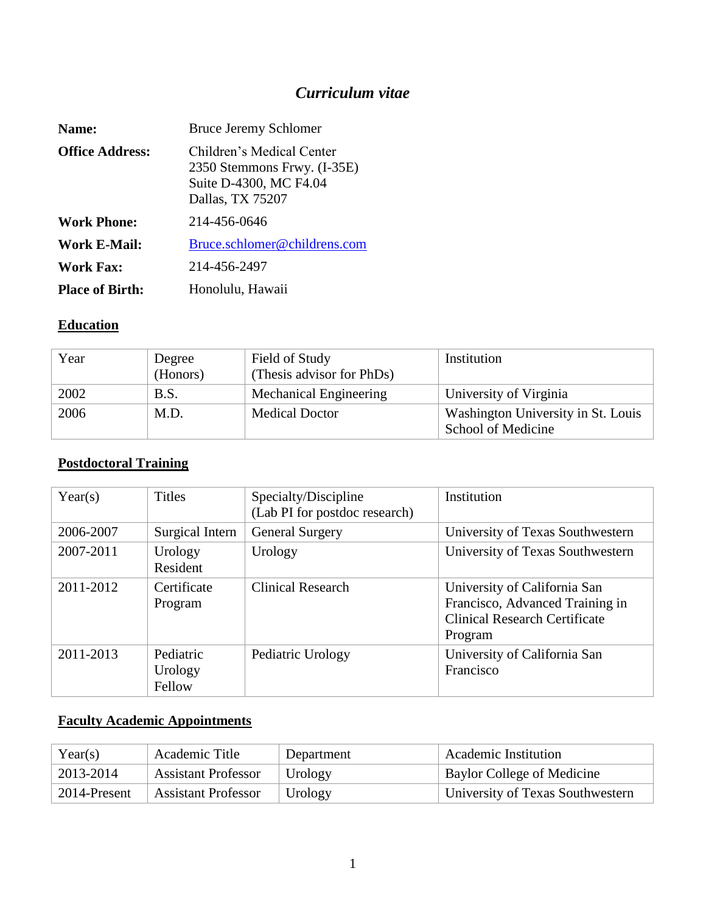# *Curriculum vitae*

| Name:                  | <b>Bruce Jeremy Schlomer</b>                                                                           |
|------------------------|--------------------------------------------------------------------------------------------------------|
| <b>Office Address:</b> | Children's Medical Center<br>2350 Stemmons Frwy. (I-35E)<br>Suite D-4300, MC F4.04<br>Dallas, TX 75207 |
| <b>Work Phone:</b>     | 214-456-0646                                                                                           |
| Work E-Mail:           | Bruce.schlomer@childrens.com                                                                           |
| <b>Work Fax:</b>       | 214-456-2497                                                                                           |
| <b>Place of Birth:</b> | Honolulu, Hawaii                                                                                       |

### **Education**

| Year | Degree<br>(Honors) | Field of Study<br>(Thesis advisor for PhDs) | Institution                                              |
|------|--------------------|---------------------------------------------|----------------------------------------------------------|
| 2002 | B.S.               | Mechanical Engineering                      | University of Virginia                                   |
| 2006 | M.D.               | <b>Medical Doctor</b>                       | Washington University in St. Louis<br>School of Medicine |

# **Postdoctoral Training**

| Year(s)   | <b>Titles</b>                  | Specialty/Discipline<br>(Lab PI for postdoc research) | Institution                                                                                                        |
|-----------|--------------------------------|-------------------------------------------------------|--------------------------------------------------------------------------------------------------------------------|
| 2006-2007 | Surgical Intern                | <b>General Surgery</b>                                | University of Texas Southwestern                                                                                   |
| 2007-2011 | Urology<br>Resident            | Urology                                               | University of Texas Southwestern                                                                                   |
| 2011-2012 | Certificate<br>Program         | <b>Clinical Research</b>                              | University of California San<br>Francisco, Advanced Training in<br><b>Clinical Research Certificate</b><br>Program |
| 2011-2013 | Pediatric<br>Urology<br>Fellow | Pediatric Urology                                     | University of California San<br>Francisco                                                                          |

# **Faculty Academic Appointments**

| Year(s)      | Academic Title             | Department | Academic Institution             |
|--------------|----------------------------|------------|----------------------------------|
| 2013-2014    | <b>Assistant Professor</b> | Urology    | Baylor College of Medicine       |
| 2014-Present | <b>Assistant Professor</b> | Urology    | University of Texas Southwestern |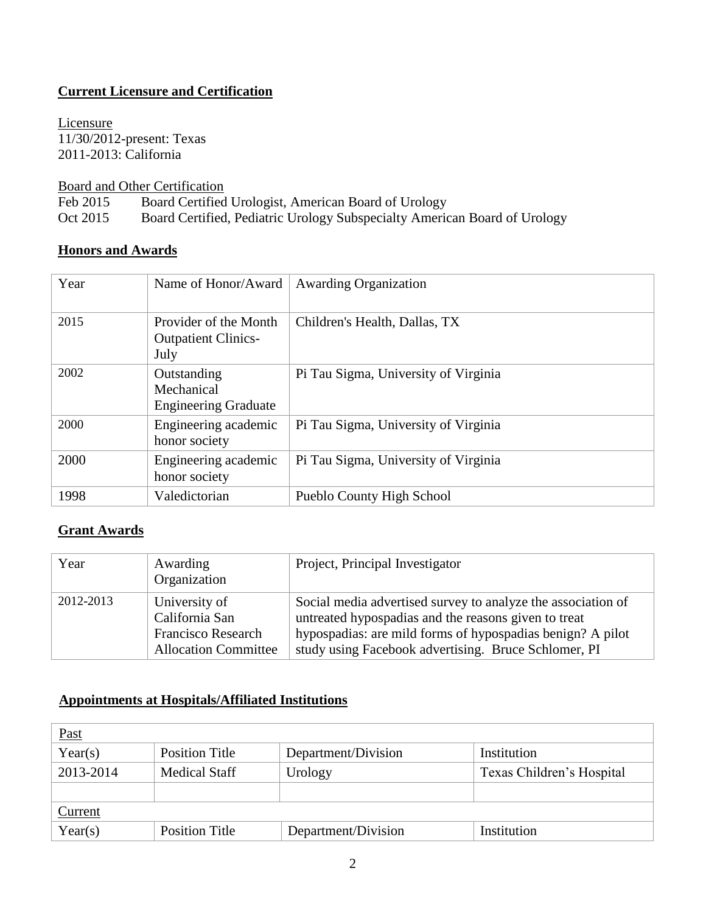## **Current Licensure and Certification**

Licensure 11/30/2012-present: Texas 2011-2013: California

Board and Other Certification

Feb 2015 Board Certified Urologist, American Board of Urology

Oct 2015 Board Certified, Pediatric Urology Subspecialty American Board of Urology

#### **Honors and Awards**

| Year | Name of Honor/Award                                         | <b>Awarding Organization</b>         |
|------|-------------------------------------------------------------|--------------------------------------|
| 2015 | Provider of the Month<br><b>Outpatient Clinics-</b><br>July | Children's Health, Dallas, TX        |
| 2002 | Outstanding<br>Mechanical<br><b>Engineering Graduate</b>    | Pi Tau Sigma, University of Virginia |
| 2000 | Engineering academic<br>honor society                       | Pi Tau Sigma, University of Virginia |
| 2000 | Engineering academic<br>honor society                       | Pi Tau Sigma, University of Virginia |
| 1998 | Valedictorian                                               | Pueblo County High School            |

#### **Grant Awards**

| Year      | Awarding<br>Organization                                                                    | Project, Principal Investigator                                                                                                                                                                                                            |
|-----------|---------------------------------------------------------------------------------------------|--------------------------------------------------------------------------------------------------------------------------------------------------------------------------------------------------------------------------------------------|
| 2012-2013 | University of<br>California San<br><b>Francisco Research</b><br><b>Allocation Committee</b> | Social media advertised survey to analyze the association of<br>untreated hypospadias and the reasons given to treat<br>hypospadias: are mild forms of hypospadias benign? A pilot<br>study using Facebook advertising. Bruce Schlomer, PI |

# **Appointments at Hospitals/Affiliated Institutions**

| <u>Past</u> |                       |                     |                           |
|-------------|-----------------------|---------------------|---------------------------|
| Year(s)     | <b>Position Title</b> | Department/Division | Institution               |
| 2013-2014   | <b>Medical Staff</b>  | Urology             | Texas Children's Hospital |
|             |                       |                     |                           |
| Current     |                       |                     |                           |
| Year(s)     | <b>Position Title</b> | Department/Division | Institution               |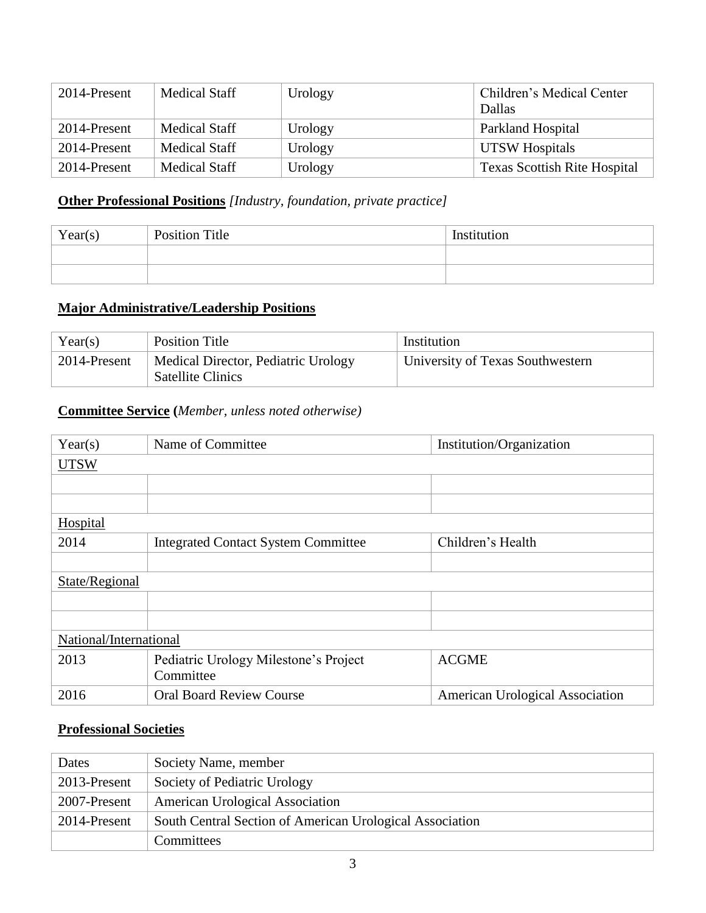| 2014-Present | <b>Medical Staff</b> | Urology | Children's Medical Center<br>Dallas |
|--------------|----------------------|---------|-------------------------------------|
| 2014-Present | <b>Medical Staff</b> | Urology | Parkland Hospital                   |
| 2014-Present | Medical Staff        | Urology | UTSW Hospitals                      |
| 2014-Present | Medical Staff        | Urology | <b>Texas Scottish Rite Hospital</b> |

## **Other Professional Positions** *[Industry, foundation, private practice]*

| Year(s) | <b>Position Title</b> | Institution |
|---------|-----------------------|-------------|
|         |                       |             |
|         |                       |             |

### **Major Administrative/Leadership Positions**

| Year(s)      | <b>Position Title</b>                                           | Institution                      |
|--------------|-----------------------------------------------------------------|----------------------------------|
| 2014-Present | Medical Director, Pediatric Urology<br><b>Satellite Clinics</b> | University of Texas Southwestern |

### **Committee Service (***Member, unless noted otherwise)*

| Year(s)                | Name of Committee                                  | Institution/Organization        |
|------------------------|----------------------------------------------------|---------------------------------|
| <b>UTSW</b>            |                                                    |                                 |
|                        |                                                    |                                 |
|                        |                                                    |                                 |
| <b>Hospital</b>        |                                                    |                                 |
| 2014                   | <b>Integrated Contact System Committee</b>         | Children's Health               |
|                        |                                                    |                                 |
| State/Regional         |                                                    |                                 |
|                        |                                                    |                                 |
|                        |                                                    |                                 |
| National/International |                                                    |                                 |
| 2013                   | Pediatric Urology Milestone's Project<br>Committee | <b>ACGME</b>                    |
| 2016                   | <b>Oral Board Review Course</b>                    | American Urological Association |
|                        |                                                    |                                 |

#### **Professional Societies**

| Dates        | Society Name, member                                     |
|--------------|----------------------------------------------------------|
| 2013-Present | Society of Pediatric Urology                             |
| 2007-Present | <b>American Urological Association</b>                   |
| 2014-Present | South Central Section of American Urological Association |
|              | <b>Committees</b>                                        |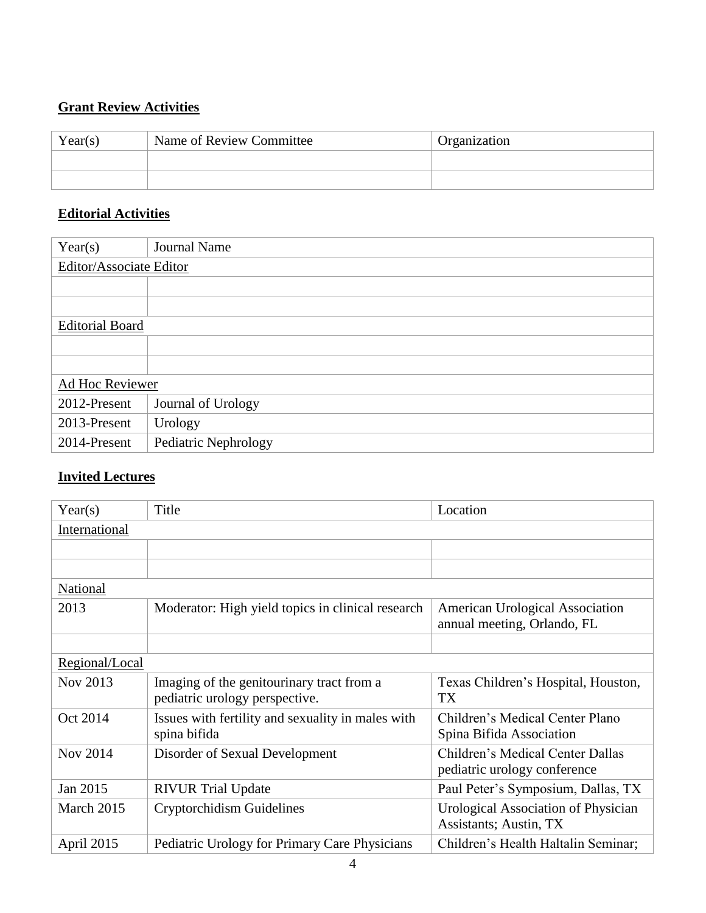## **Grant Review Activities**

| Year(s) | Name of Review Committee | Organization |
|---------|--------------------------|--------------|
|         |                          |              |
|         |                          |              |

## **Editorial Activities**

| Year(s)                 | <b>Journal Name</b>  |
|-------------------------|----------------------|
| Editor/Associate Editor |                      |
|                         |                      |
|                         |                      |
| <b>Editorial Board</b>  |                      |
|                         |                      |
|                         |                      |
| Ad Hoc Reviewer         |                      |
| 2012-Present            | Journal of Urology   |
| 2013-Present            | Urology              |
| 2014-Present            | Pediatric Nephrology |

#### **Invited Lectures**

| Year(s)         | Title                                                                       | Location                                                              |
|-----------------|-----------------------------------------------------------------------------|-----------------------------------------------------------------------|
| International   |                                                                             |                                                                       |
|                 |                                                                             |                                                                       |
|                 |                                                                             |                                                                       |
| National        |                                                                             |                                                                       |
| 2013            | Moderator: High yield topics in clinical research                           | <b>American Urological Association</b><br>annual meeting, Orlando, FL |
|                 |                                                                             |                                                                       |
| Regional/Local  |                                                                             |                                                                       |
| Nov 2013        | Imaging of the genitourinary tract from a<br>pediatric urology perspective. | Texas Children's Hospital, Houston,<br><b>TX</b>                      |
| Oct 2014        | Issues with fertility and sexuality in males with<br>spina bifida           | Children's Medical Center Plano<br>Spina Bifida Association           |
| <b>Nov 2014</b> | Disorder of Sexual Development                                              | Children's Medical Center Dallas<br>pediatric urology conference      |
| Jan 2015        | <b>RIVUR Trial Update</b>                                                   | Paul Peter's Symposium, Dallas, TX                                    |
| March 2015      | Cryptorchidism Guidelines                                                   | <b>Urological Association of Physician</b><br>Assistants; Austin, TX  |
| April 2015      | Pediatric Urology for Primary Care Physicians                               | Children's Health Haltalin Seminar;                                   |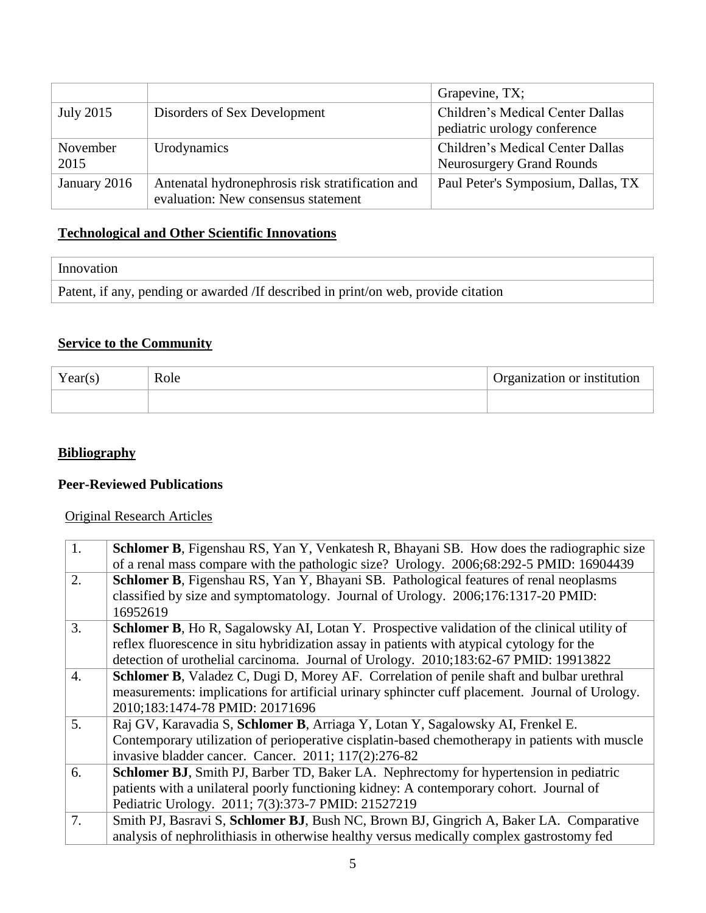|                  |                                                                                         | Grapevine, TX;                                                       |
|------------------|-----------------------------------------------------------------------------------------|----------------------------------------------------------------------|
| July 2015        | Disorders of Sex Development                                                            | Children's Medical Center Dallas<br>pediatric urology conference     |
| November<br>2015 | Urodynamics                                                                             | Children's Medical Center Dallas<br><b>Neurosurgery Grand Rounds</b> |
| January 2016     | Antenatal hydronephrosis risk stratification and<br>evaluation: New consensus statement | Paul Peter's Symposium, Dallas, TX                                   |

### **Technological and Other Scientific Innovations**

| Innovation                                                                         |
|------------------------------------------------------------------------------------|
| Patent, if any, pending or awarded /If described in print/on web, provide citation |

#### **Service to the Community**

| Year(s) | Role | Organization or institution |
|---------|------|-----------------------------|
|         |      |                             |

### **Bibliography**

## **Peer-Reviewed Publications**

### Original Research Articles

| 1. | Schlomer B, Figenshau RS, Yan Y, Venkatesh R, Bhayani SB. How does the radiographic size<br>of a renal mass compare with the pathologic size? Urology. 2006;68:292-5 PMID: 16904439 |
|----|-------------------------------------------------------------------------------------------------------------------------------------------------------------------------------------|
| 2. | <b>Schlomer B,</b> Figenshau RS, Yan Y, Bhayani SB. Pathological features of renal neoplasms                                                                                        |
|    | classified by size and symptomatology. Journal of Urology. 2006;176:1317-20 PMID:                                                                                                   |
|    | 16952619                                                                                                                                                                            |
| 3. | <b>Schlomer B,</b> Ho R, Sagalowsky AI, Lotan Y. Prospective validation of the clinical utility of                                                                                  |
|    | reflex fluorescence in situ hybridization assay in patients with atypical cytology for the                                                                                          |
|    | detection of urothelial carcinoma. Journal of Urology. 2010;183:62-67 PMID: 19913822                                                                                                |
| 4. | <b>Schlomer B,</b> Valadez C, Dugi D, Morey AF. Correlation of penile shaft and bulbar urethral                                                                                     |
|    | measurements: implications for artificial urinary sphincter cuff placement. Journal of Urology.                                                                                     |
|    | 2010;183:1474-78 PMID: 20171696                                                                                                                                                     |
| 5. | Raj GV, Karavadia S, Schlomer B, Arriaga Y, Lotan Y, Sagalowsky AI, Frenkel E.                                                                                                      |
|    | Contemporary utilization of perioperative cisplatin-based chemotherapy in patients with muscle                                                                                      |
|    | invasive bladder cancer. Cancer. 2011; 117(2):276-82                                                                                                                                |
| 6. | <b>Schlomer BJ</b> , Smith PJ, Barber TD, Baker LA. Nephrectomy for hypertension in pediatric                                                                                       |
|    | patients with a unilateral poorly functioning kidney: A contemporary cohort. Journal of                                                                                             |
|    | Pediatric Urology. 2011; 7(3):373-7 PMID: 21527219                                                                                                                                  |
| 7. | Smith PJ, Basravi S, Schlomer BJ, Bush NC, Brown BJ, Gingrich A, Baker LA. Comparative                                                                                              |
|    | analysis of nephrolithiasis in otherwise healthy versus medically complex gastrostomy fed                                                                                           |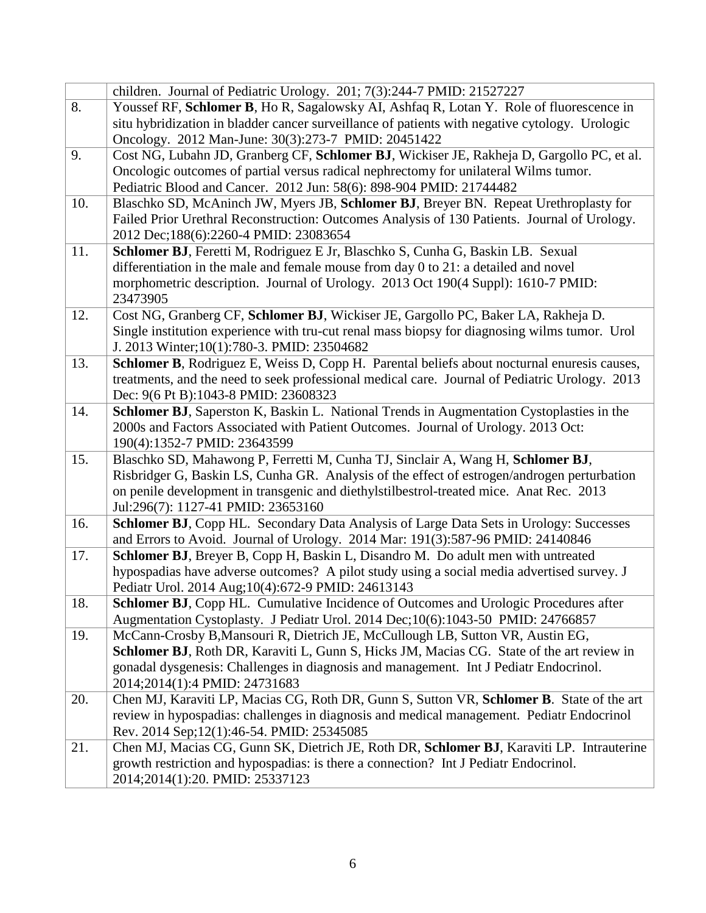|     | children. Journal of Pediatric Urology. 201; 7(3):244-7 PMID: 21527227                                          |
|-----|-----------------------------------------------------------------------------------------------------------------|
| 8.  | Youssef RF, Schlomer B, Ho R, Sagalowsky AI, Ashfaq R, Lotan Y. Role of fluorescence in                         |
|     | situ hybridization in bladder cancer surveillance of patients with negative cytology. Urologic                  |
|     | Oncology. 2012 Man-June: 30(3):273-7 PMID: 20451422                                                             |
| 9.  | Cost NG, Lubahn JD, Granberg CF, Schlomer BJ, Wickiser JE, Rakheja D, Gargollo PC, et al.                       |
|     | Oncologic outcomes of partial versus radical nephrectomy for unilateral Wilms tumor.                            |
|     | Pediatric Blood and Cancer. 2012 Jun: 58(6): 898-904 PMID: 21744482                                             |
| 10. | Blaschko SD, McAninch JW, Myers JB, Schlomer BJ, Breyer BN. Repeat Urethroplasty for                            |
|     | Failed Prior Urethral Reconstruction: Outcomes Analysis of 130 Patients. Journal of Urology.                    |
|     | 2012 Dec;188(6):2260-4 PMID: 23083654                                                                           |
| 11. | Schlomer BJ, Feretti M, Rodriguez E Jr, Blaschko S, Cunha G, Baskin LB. Sexual                                  |
|     | differentiation in the male and female mouse from day 0 to 21: a detailed and novel                             |
|     | morphometric description. Journal of Urology. 2013 Oct 190(4 Suppl): 1610-7 PMID:                               |
|     | 23473905                                                                                                        |
| 12. | Cost NG, Granberg CF, Schlomer BJ, Wickiser JE, Gargollo PC, Baker LA, Rakheja D.                               |
|     | Single institution experience with tru-cut renal mass biopsy for diagnosing wilms tumor. Urol                   |
|     | J. 2013 Winter; 10(1): 780-3. PMID: 23504682                                                                    |
| 13. | Schlomer B, Rodriguez E, Weiss D, Copp H. Parental beliefs about nocturnal enuresis causes,                     |
|     | treatments, and the need to seek professional medical care. Journal of Pediatric Urology. 2013                  |
|     | Dec: 9(6 Pt B):1043-8 PMID: 23608323                                                                            |
| 14. | Schlomer BJ, Saperston K, Baskin L. National Trends in Augmentation Cystoplasties in the                        |
|     | 2000s and Factors Associated with Patient Outcomes. Journal of Urology. 2013 Oct:                               |
| 15. | 190(4):1352-7 PMID: 23643599<br>Blaschko SD, Mahawong P, Ferretti M, Cunha TJ, Sinclair A, Wang H, Schlomer BJ, |
|     | Risbridger G, Baskin LS, Cunha GR. Analysis of the effect of estrogen/androgen perturbation                     |
|     | on penile development in transgenic and diethylstilbestrol-treated mice. Anat Rec. 2013                         |
|     | Jul:296(7): 1127-41 PMID: 23653160                                                                              |
| 16. | Schlomer BJ, Copp HL. Secondary Data Analysis of Large Data Sets in Urology: Successes                          |
|     | and Errors to Avoid. Journal of Urology. 2014 Mar: 191(3):587-96 PMID: 24140846                                 |
| 17. | Schlomer BJ, Breyer B, Copp H, Baskin L, Disandro M. Do adult men with untreated                                |
|     | hypospadias have adverse outcomes? A pilot study using a social media advertised survey. J                      |
|     | Pediatr Urol. 2014 Aug; 10(4): 672-9 PMID: 24613143                                                             |
| 18. | <b>Schlomer BJ, Copp HL. Cumulative Incidence of Outcomes and Urologic Procedures after</b>                     |
|     | Augmentation Cystoplasty. J Pediatr Urol. 2014 Dec;10(6):1043-50 PMID: 24766857                                 |
| 19. | McCann-Crosby B, Mansouri R, Dietrich JE, McCullough LB, Sutton VR, Austin EG,                                  |
|     | Schlomer BJ, Roth DR, Karaviti L, Gunn S, Hicks JM, Macias CG. State of the art review in                       |
|     | gonadal dysgenesis: Challenges in diagnosis and management. Int J Pediatr Endocrinol.                           |
|     | 2014;2014(1):4 PMID: 24731683                                                                                   |
| 20. | Chen MJ, Karaviti LP, Macias CG, Roth DR, Gunn S, Sutton VR, Schlomer B. State of the art                       |
|     | review in hypospadias: challenges in diagnosis and medical management. Pediatr Endocrinol                       |
|     | Rev. 2014 Sep;12(1):46-54. PMID: 25345085                                                                       |
| 21. | Chen MJ, Macias CG, Gunn SK, Dietrich JE, Roth DR, Schlomer BJ, Karaviti LP. Intrauterine                       |
|     | growth restriction and hypospadias: is there a connection? Int J Pediatr Endocrinol.                            |
|     | 2014;2014(1):20. PMID: 25337123                                                                                 |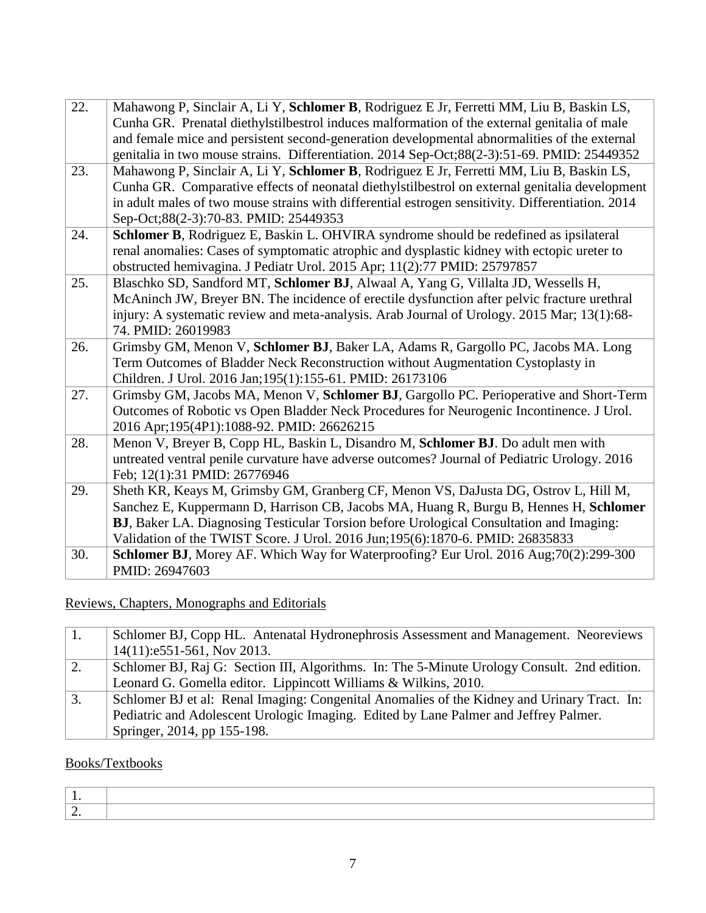| 22. | Mahawong P, Sinclair A, Li Y, Schlomer B, Rodriguez E Jr, Ferretti MM, Liu B, Baskin LS,<br>Cunha GR. Prenatal diethylstilbestrol induces malformation of the external genitalia of male<br>and female mice and persistent second-generation developmental abnormalities of the external<br>genitalia in two mouse strains. Differentiation. 2014 Sep-Oct;88(2-3):51-69. PMID: 25449352 |
|-----|-----------------------------------------------------------------------------------------------------------------------------------------------------------------------------------------------------------------------------------------------------------------------------------------------------------------------------------------------------------------------------------------|
| 23. | Mahawong P, Sinclair A, Li Y, Schlomer B, Rodriguez E Jr, Ferretti MM, Liu B, Baskin LS,                                                                                                                                                                                                                                                                                                |
|     | Cunha GR. Comparative effects of neonatal diethylstilbestrol on external genitalia development                                                                                                                                                                                                                                                                                          |
|     | in adult males of two mouse strains with differential estrogen sensitivity. Differentiation. 2014                                                                                                                                                                                                                                                                                       |
|     | Sep-Oct;88(2-3):70-83. PMID: 25449353                                                                                                                                                                                                                                                                                                                                                   |
| 24. | Schlomer B, Rodriguez E, Baskin L. OHVIRA syndrome should be redefined as ipsilateral                                                                                                                                                                                                                                                                                                   |
|     | renal anomalies: Cases of symptomatic atrophic and dysplastic kidney with ectopic ureter to                                                                                                                                                                                                                                                                                             |
|     | obstructed hemivagina. J Pediatr Urol. 2015 Apr; 11(2):77 PMID: 25797857                                                                                                                                                                                                                                                                                                                |
| 25. | Blaschko SD, Sandford MT, Schlomer BJ, Alwaal A, Yang G, Villalta JD, Wessells H,                                                                                                                                                                                                                                                                                                       |
|     | McAninch JW, Breyer BN. The incidence of erectile dysfunction after pelvic fracture urethral                                                                                                                                                                                                                                                                                            |
|     | injury: A systematic review and meta-analysis. Arab Journal of Urology. 2015 Mar; 13(1):68-                                                                                                                                                                                                                                                                                             |
|     | 74. PMID: 26019983                                                                                                                                                                                                                                                                                                                                                                      |
| 26. | Grimsby GM, Menon V, Schlomer BJ, Baker LA, Adams R, Gargollo PC, Jacobs MA. Long                                                                                                                                                                                                                                                                                                       |
|     | Term Outcomes of Bladder Neck Reconstruction without Augmentation Cystoplasty in                                                                                                                                                                                                                                                                                                        |
|     | Children. J Urol. 2016 Jan;195(1):155-61. PMID: 26173106                                                                                                                                                                                                                                                                                                                                |
| 27. | Grimsby GM, Jacobs MA, Menon V, Schlomer BJ, Gargollo PC. Perioperative and Short-Term                                                                                                                                                                                                                                                                                                  |
|     | Outcomes of Robotic vs Open Bladder Neck Procedures for Neurogenic Incontinence. J Urol.                                                                                                                                                                                                                                                                                                |
|     | 2016 Apr;195(4P1):1088-92. PMID: 26626215                                                                                                                                                                                                                                                                                                                                               |
| 28. | Menon V, Breyer B, Copp HL, Baskin L, Disandro M, Schlomer BJ. Do adult men with                                                                                                                                                                                                                                                                                                        |
|     | untreated ventral penile curvature have adverse outcomes? Journal of Pediatric Urology. 2016                                                                                                                                                                                                                                                                                            |
|     | Feb; 12(1):31 PMID: 26776946                                                                                                                                                                                                                                                                                                                                                            |
| 29. | Sheth KR, Keays M, Grimsby GM, Granberg CF, Menon VS, DaJusta DG, Ostrov L, Hill M,                                                                                                                                                                                                                                                                                                     |
|     | Sanchez E, Kuppermann D, Harrison CB, Jacobs MA, Huang R, Burgu B, Hennes H, Schlomer                                                                                                                                                                                                                                                                                                   |
|     | BJ, Baker LA. Diagnosing Testicular Torsion before Urological Consultation and Imaging:                                                                                                                                                                                                                                                                                                 |
|     | Validation of the TWIST Score. J Urol. 2016 Jun;195(6):1870-6. PMID: 26835833                                                                                                                                                                                                                                                                                                           |
| 30. | Schlomer BJ, Morey AF. Which Way for Waterproofing? Eur Urol. 2016 Aug;70(2):299-300                                                                                                                                                                                                                                                                                                    |
|     | PMID: 26947603                                                                                                                                                                                                                                                                                                                                                                          |

Reviews, Chapters, Monographs and Editorials

|    | Schlomer BJ, Copp HL. Antenatal Hydronephrosis Assessment and Management. Neoreviews        |
|----|---------------------------------------------------------------------------------------------|
|    | $14(11):e551-561$ , Nov 2013.                                                               |
| 2. | Schlomer BJ, Raj G: Section III, Algorithms. In: The 5-Minute Urology Consult. 2nd edition. |
|    | Leonard G. Gomella editor. Lippincott Williams & Wilkins, 2010.                             |
| 3. | Schlomer BJ et al: Renal Imaging: Congenital Anomalies of the Kidney and Urinary Tract. In: |
|    | Pediatric and Adolescent Urologic Imaging. Edited by Lane Palmer and Jeffrey Palmer.        |
|    | Springer, 2014, pp 155-198.                                                                 |

# Books/Textbooks

| -<br>the contract of the contract of |  |
|--------------------------------------|--|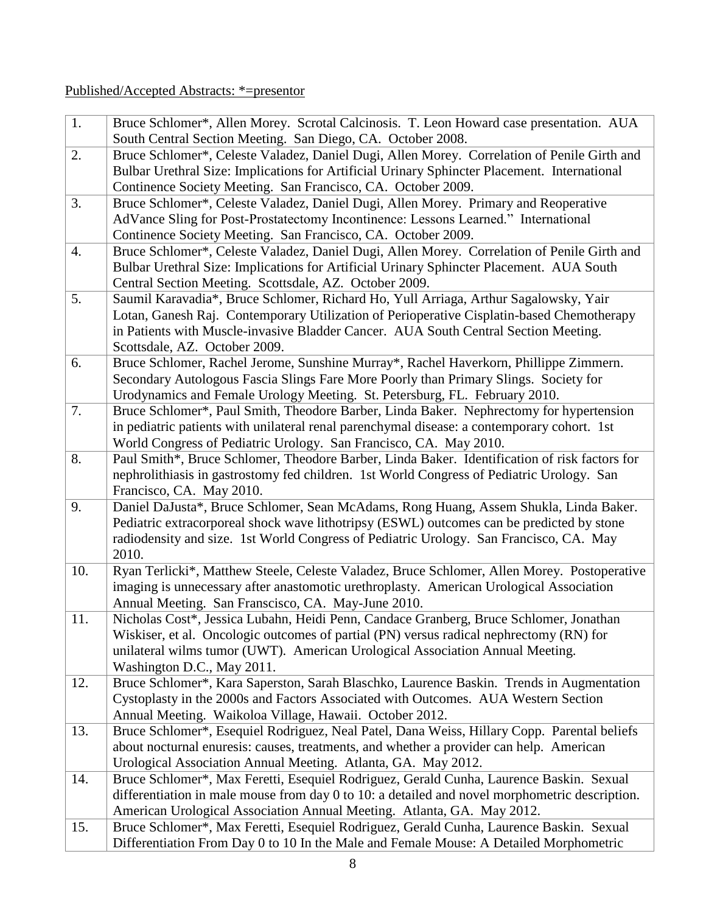# Published/Accepted Abstracts: \*=presentor

| 1.  | Bruce Schlomer*, Allen Morey. Scrotal Calcinosis. T. Leon Howard case presentation. AUA        |
|-----|------------------------------------------------------------------------------------------------|
|     | South Central Section Meeting. San Diego, CA. October 2008.                                    |
| 2.  | Bruce Schlomer*, Celeste Valadez, Daniel Dugi, Allen Morey. Correlation of Penile Girth and    |
|     | Bulbar Urethral Size: Implications for Artificial Urinary Sphincter Placement. International   |
|     | Continence Society Meeting. San Francisco, CA. October 2009.                                   |
| 3.  | Bruce Schlomer*, Celeste Valadez, Daniel Dugi, Allen Morey. Primary and Reoperative            |
|     | AdVance Sling for Post-Prostatectomy Incontinence: Lessons Learned." International             |
|     | Continence Society Meeting. San Francisco, CA. October 2009.                                   |
| 4.  | Bruce Schlomer*, Celeste Valadez, Daniel Dugi, Allen Morey. Correlation of Penile Girth and    |
|     | Bulbar Urethral Size: Implications for Artificial Urinary Sphincter Placement. AUA South       |
|     | Central Section Meeting. Scottsdale, AZ. October 2009.                                         |
| 5.  | Saumil Karavadia*, Bruce Schlomer, Richard Ho, Yull Arriaga, Arthur Sagalowsky, Yair           |
|     | Lotan, Ganesh Raj. Contemporary Utilization of Perioperative Cisplatin-based Chemotherapy      |
|     | in Patients with Muscle-invasive Bladder Cancer. AUA South Central Section Meeting.            |
|     | Scottsdale, AZ. October 2009.                                                                  |
| 6.  | Bruce Schlomer, Rachel Jerome, Sunshine Murray*, Rachel Haverkorn, Phillippe Zimmern.          |
|     | Secondary Autologous Fascia Slings Fare More Poorly than Primary Slings. Society for           |
|     | Urodynamics and Female Urology Meeting. St. Petersburg, FL. February 2010.                     |
| 7.  | Bruce Schlomer*, Paul Smith, Theodore Barber, Linda Baker. Nephrectomy for hypertension        |
|     | in pediatric patients with unilateral renal parenchymal disease: a contemporary cohort. 1st    |
|     | World Congress of Pediatric Urology. San Francisco, CA. May 2010.                              |
| 8.  | Paul Smith*, Bruce Schlomer, Theodore Barber, Linda Baker. Identification of risk factors for  |
|     | nephrolithiasis in gastrostomy fed children. 1st World Congress of Pediatric Urology. San      |
|     | Francisco, CA. May 2010.                                                                       |
| 9.  | Daniel DaJusta*, Bruce Schlomer, Sean McAdams, Rong Huang, Assem Shukla, Linda Baker.          |
|     | Pediatric extracorporeal shock wave lithotripsy (ESWL) outcomes can be predicted by stone      |
|     | radiodensity and size. 1st World Congress of Pediatric Urology. San Francisco, CA. May         |
|     | 2010.                                                                                          |
| 10. | Ryan Terlicki*, Matthew Steele, Celeste Valadez, Bruce Schlomer, Allen Morey. Postoperative    |
|     | imaging is unnecessary after anastomotic urethroplasty. American Urological Association        |
|     | Annual Meeting. San Franscisco, CA. May-June 2010.                                             |
| 11. | Nicholas Cost*, Jessica Lubahn, Heidi Penn, Candace Granberg, Bruce Schlomer, Jonathan         |
|     | Wiskiser, et al. Oncologic outcomes of partial (PN) versus radical nephrectomy (RN) for        |
|     | unilateral wilms tumor (UWT). American Urological Association Annual Meeting.                  |
|     | Washington D.C., May 2011.                                                                     |
| 12. | Bruce Schlomer*, Kara Saperston, Sarah Blaschko, Laurence Baskin. Trends in Augmentation       |
|     | Cystoplasty in the 2000s and Factors Associated with Outcomes. AUA Western Section             |
|     | Annual Meeting. Waikoloa Village, Hawaii. October 2012.                                        |
| 13. | Bruce Schlomer*, Esequiel Rodriguez, Neal Patel, Dana Weiss, Hillary Copp. Parental beliefs    |
|     | about nocturnal enuresis: causes, treatments, and whether a provider can help. American        |
|     | Urological Association Annual Meeting. Atlanta, GA. May 2012.                                  |
| 14. | Bruce Schlomer*, Max Feretti, Esequiel Rodriguez, Gerald Cunha, Laurence Baskin. Sexual        |
|     | differentiation in male mouse from day 0 to 10: a detailed and novel morphometric description. |
|     | American Urological Association Annual Meeting. Atlanta, GA. May 2012.                         |
| 15. | Bruce Schlomer*, Max Feretti, Esequiel Rodriguez, Gerald Cunha, Laurence Baskin. Sexual        |
|     | Differentiation From Day 0 to 10 In the Male and Female Mouse: A Detailed Morphometric         |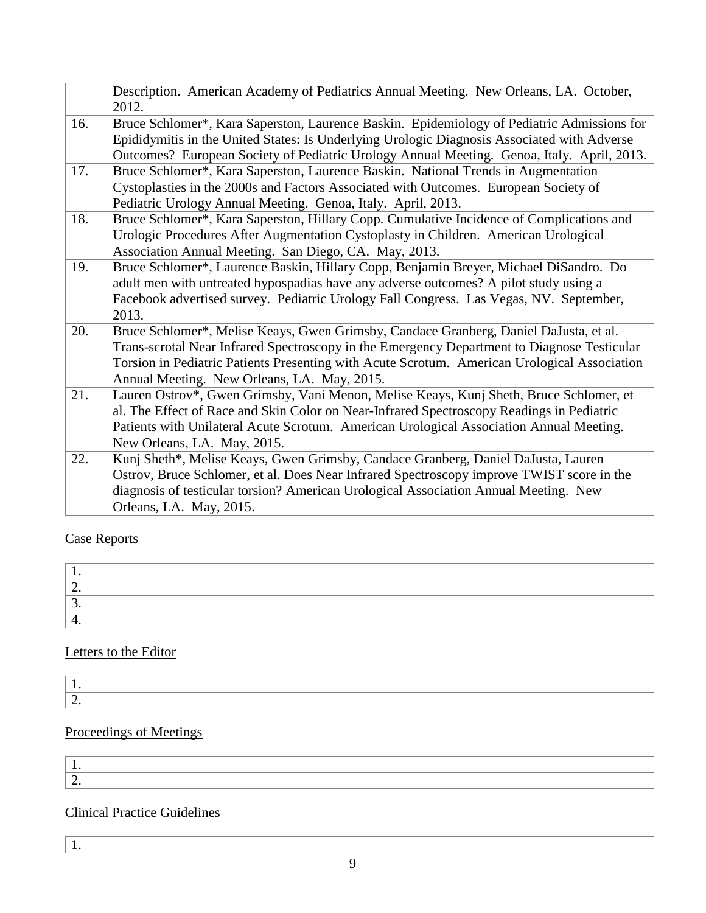|     | Description. American Academy of Pediatrics Annual Meeting. New Orleans, LA. October,<br>2012.                                                                                                                                                                                                                                      |
|-----|-------------------------------------------------------------------------------------------------------------------------------------------------------------------------------------------------------------------------------------------------------------------------------------------------------------------------------------|
| 16. | Bruce Schlomer*, Kara Saperston, Laurence Baskin. Epidemiology of Pediatric Admissions for<br>Epididymitis in the United States: Is Underlying Urologic Diagnosis Associated with Adverse<br>Outcomes? European Society of Pediatric Urology Annual Meeting. Genoa, Italy. April, 2013.                                             |
| 17. | Bruce Schlomer*, Kara Saperston, Laurence Baskin. National Trends in Augmentation<br>Cystoplasties in the 2000s and Factors Associated with Outcomes. European Society of<br>Pediatric Urology Annual Meeting. Genoa, Italy. April, 2013.                                                                                           |
| 18. | Bruce Schlomer*, Kara Saperston, Hillary Copp. Cumulative Incidence of Complications and<br>Urologic Procedures After Augmentation Cystoplasty in Children. American Urological<br>Association Annual Meeting. San Diego, CA. May, 2013.                                                                                            |
| 19. | Bruce Schlomer*, Laurence Baskin, Hillary Copp, Benjamin Breyer, Michael DiSandro. Do<br>adult men with untreated hypospadias have any adverse outcomes? A pilot study using a<br>Facebook advertised survey. Pediatric Urology Fall Congress. Las Vegas, NV. September,<br>2013.                                                   |
| 20. | Bruce Schlomer*, Melise Keays, Gwen Grimsby, Candace Granberg, Daniel DaJusta, et al.<br>Trans-scrotal Near Infrared Spectroscopy in the Emergency Department to Diagnose Testicular<br>Torsion in Pediatric Patients Presenting with Acute Scrotum. American Urological Association<br>Annual Meeting. New Orleans, LA. May, 2015. |
| 21. | Lauren Ostrov*, Gwen Grimsby, Vani Menon, Melise Keays, Kunj Sheth, Bruce Schlomer, et<br>al. The Effect of Race and Skin Color on Near-Infrared Spectroscopy Readings in Pediatric<br>Patients with Unilateral Acute Scrotum. American Urological Association Annual Meeting.<br>New Orleans, LA. May, 2015.                       |
| 22. | Kunj Sheth*, Melise Keays, Gwen Grimsby, Candace Granberg, Daniel DaJusta, Lauren<br>Ostrov, Bruce Schlomer, et al. Does Near Infrared Spectroscopy improve TWIST score in the<br>diagnosis of testicular torsion? American Urological Association Annual Meeting. New<br>Orleans, LA. May, 2015.                                   |

# Case Reports

| <u>.</u> |  |
|----------|--|
|          |  |
| . .      |  |

# Letters to the Editor

# Proceedings of Meetings

# Clinical Practice Guidelines

|  | $\sim$ |
|--|--------|